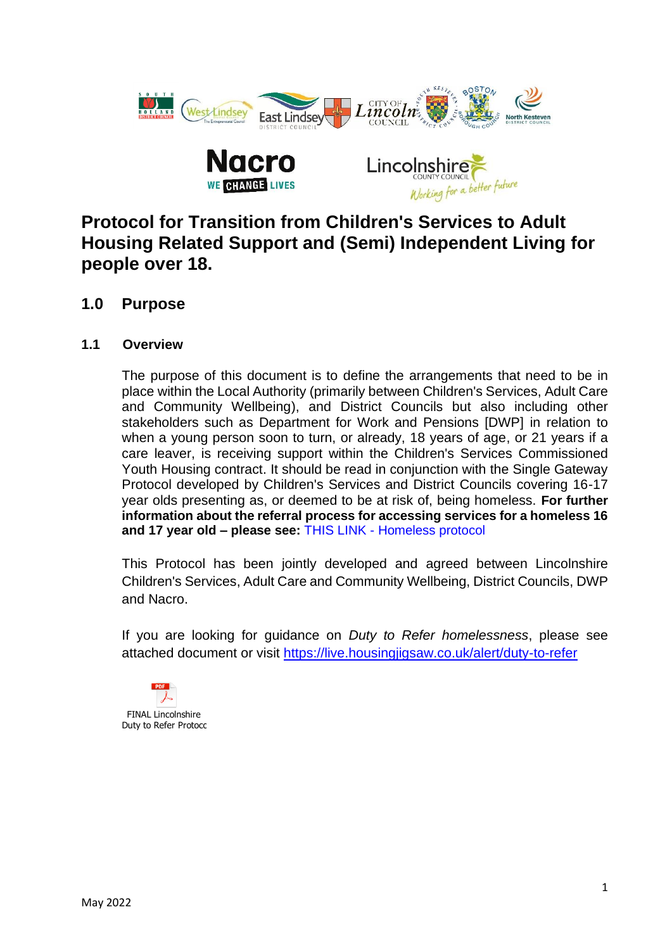

# **Protocol for Transition from Children's Services to Adult Housing Related Support and (Semi) Independent Living for people over 18.**

# **1.0 Purpose**

# **1.1 Overview**

The purpose of this document is to define the arrangements that need to be in place within the Local Authority (primarily between Children's Services, Adult Care and Community Wellbeing), and District Councils but also including other stakeholders such as Department for Work and Pensions [DWP] in relation to when a young person soon to turn, or already, 18 years of age, or 21 years if a care leaver, is receiving support within the Children's Services Commissioned Youth Housing contract. It should be read in conjunction with the Single Gateway Protocol developed by Children's Services and District Councils covering 16-17 year olds presenting as, or deemed to be at risk of, being homeless. **For further information about the referral process for accessing services for a homeless 16 and 17 year old – please see:** THIS LINK - [Homeless protocol](https://lincolnshirechildcare.proceduresonline.com/pr_single_homeless.html?zoom_highlight=home) 

This Protocol has been jointly developed and agreed between Lincolnshire Children's Services, Adult Care and Community Wellbeing, District Councils, DWP and Nacro.

If you are looking for guidance on *Duty to Refer homelessness*, please see attached document or visit<https://live.housingjigsaw.co.uk/alert/duty-to-refer>

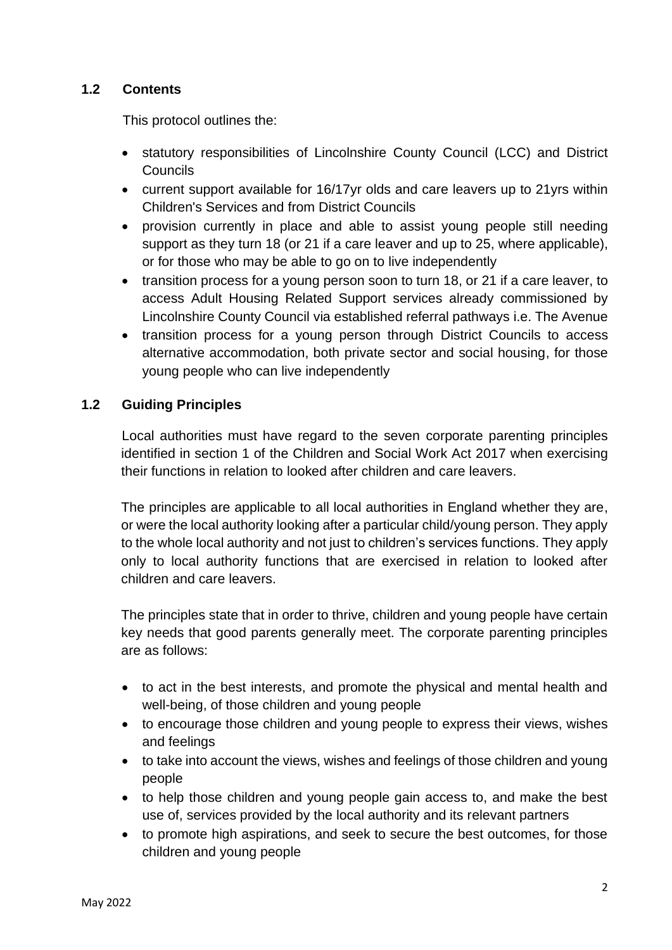## **1.2 Contents**

This protocol outlines the:

- statutory responsibilities of Lincolnshire County Council (LCC) and District **Councils**
- current support available for 16/17yr olds and care leavers up to 21yrs within Children's Services and from District Councils
- provision currently in place and able to assist young people still needing support as they turn 18 (or 21 if a care leaver and up to 25, where applicable), or for those who may be able to go on to live independently
- transition process for a young person soon to turn 18, or 21 if a care leaver, to access Adult Housing Related Support services already commissioned by Lincolnshire County Council via established referral pathways i.e. The Avenue
- transition process for a young person through District Councils to access alternative accommodation, both private sector and social housing, for those young people who can live independently

### **1.2 Guiding Principles**

Local authorities must have regard to the seven corporate parenting principles identified in section 1 of the Children and Social Work Act 2017 when exercising their functions in relation to looked after children and care leavers.

The principles are applicable to all local authorities in England whether they are, or were the local authority looking after a particular child/young person. They apply to the whole local authority and not just to children's services functions. They apply only to local authority functions that are exercised in relation to looked after children and care leavers.

The principles state that in order to thrive, children and young people have certain key needs that good parents generally meet. The corporate parenting principles are as follows:

- to act in the best interests, and promote the physical and mental health and well-being, of those children and young people
- to encourage those children and young people to express their views, wishes and feelings
- to take into account the views, wishes and feelings of those children and young people
- to help those children and young people gain access to, and make the best use of, services provided by the local authority and its relevant partners
- to promote high aspirations, and seek to secure the best outcomes, for those children and young people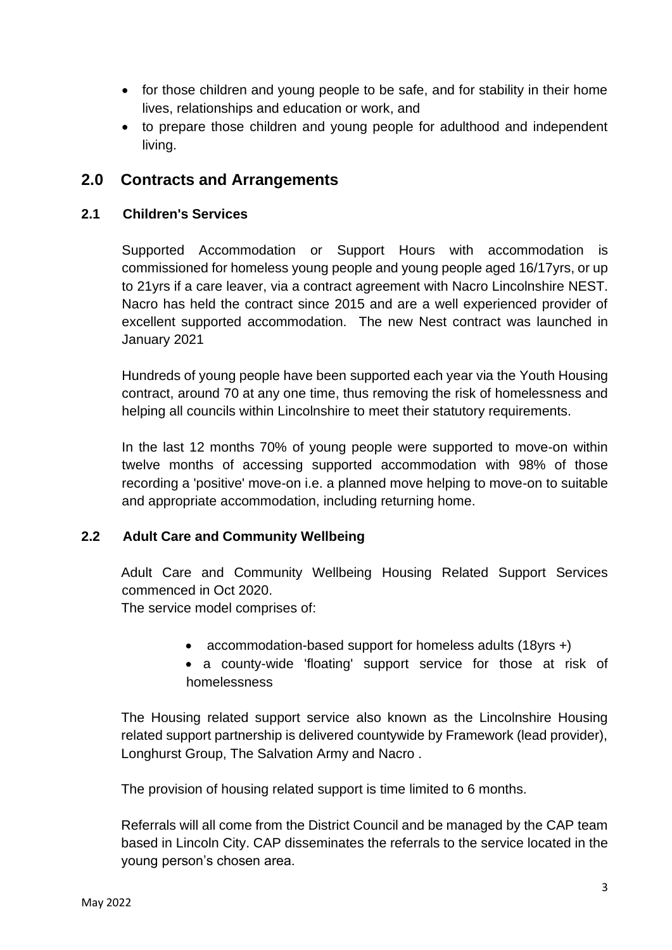- for those children and young people to be safe, and for stability in their home lives, relationships and education or work, and
- to prepare those children and young people for adulthood and independent living.

# **2.0 Contracts and Arrangements**

#### **2.1 Children's Services**

Supported Accommodation or Support Hours with accommodation is commissioned for homeless young people and young people aged 16/17yrs, or up to 21yrs if a care leaver, via a contract agreement with Nacro Lincolnshire NEST. Nacro has held the contract since 2015 and are a well experienced provider of excellent supported accommodation. The new Nest contract was launched in January 2021

Hundreds of young people have been supported each year via the Youth Housing contract, around 70 at any one time, thus removing the risk of homelessness and helping all councils within Lincolnshire to meet their statutory requirements.

In the last 12 months 70% of young people were supported to move-on within twelve months of accessing supported accommodation with 98% of those recording a 'positive' move-on i.e. a planned move helping to move-on to suitable and appropriate accommodation, including returning home.

# **2.2 Adult Care and Community Wellbeing**

Adult Care and Community Wellbeing Housing Related Support Services commenced in Oct 2020.

The service model comprises of:

- accommodation-based support for homeless adults (18yrs +)
- a county-wide 'floating' support service for those at risk of homelessness

The Housing related support service also known as the Lincolnshire Housing related support partnership is delivered countywide by Framework (lead provider), Longhurst Group, The Salvation Army and Nacro .

The provision of housing related support is time limited to 6 months.

Referrals will all come from the District Council and be managed by the CAP team based in Lincoln City. CAP disseminates the referrals to the service located in the young person's chosen area.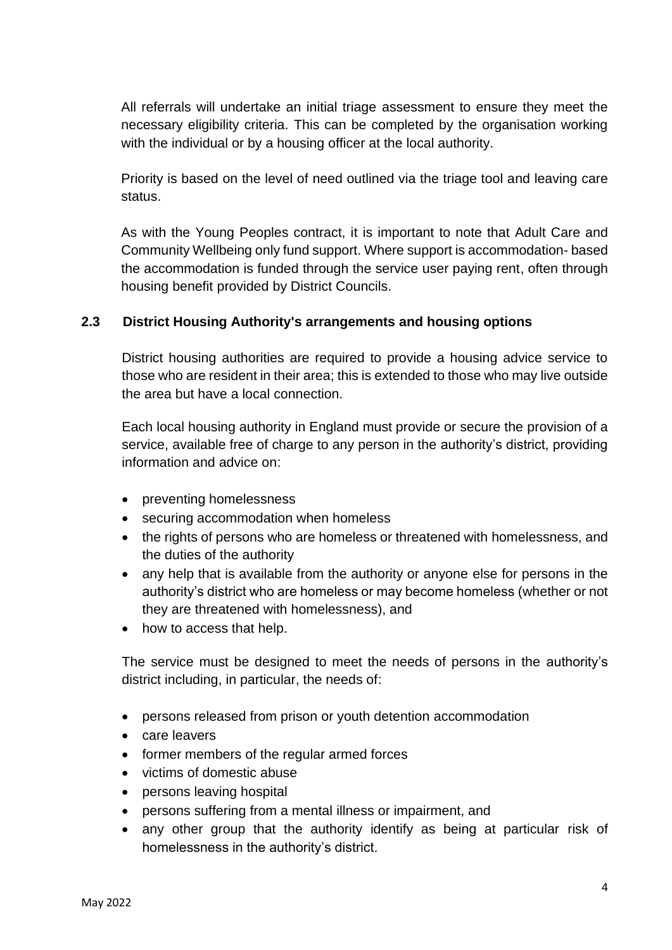All referrals will undertake an initial triage assessment to ensure they meet the necessary eligibility criteria. This can be completed by the organisation working with the individual or by a housing officer at the local authority.

Priority is based on the level of need outlined via the triage tool and leaving care status.

As with the Young Peoples contract, it is important to note that Adult Care and Community Wellbeing only fund support. Where support is accommodation- based the accommodation is funded through the service user paying rent, often through housing benefit provided by District Councils.

### **2.3 District Housing Authority's arrangements and housing options**

District housing authorities are required to provide a housing advice service to those who are resident in their area; this is extended to those who may live outside the area but have a local connection.

Each local housing authority in England must provide or secure the provision of a service, available free of charge to any person in the authority's district, providing information and advice on:

- preventing homelessness
- securing accommodation when homeless
- the rights of persons who are homeless or threatened with homelessness, and the duties of the authority
- any help that is available from the authority or anyone else for persons in the authority's district who are homeless or may become homeless (whether or not they are threatened with homelessness), and
- how to access that help.

The service must be designed to meet the needs of persons in the authority's district including, in particular, the needs of:

- persons released from prison or youth detention accommodation
- care leavers
- former members of the regular armed forces
- victims of domestic abuse
- persons leaving hospital
- persons suffering from a mental illness or impairment, and
- any other group that the authority identify as being at particular risk of homelessness in the authority's district.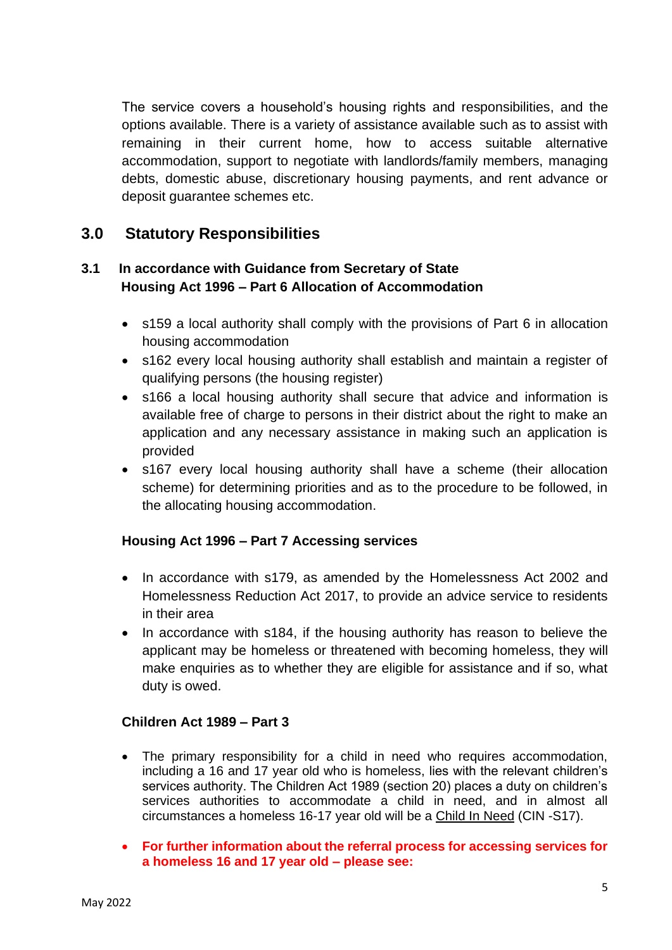The service covers a household's housing rights and responsibilities, and the options available. There is a variety of assistance available such as to assist with remaining in their current home, how to access suitable alternative accommodation, support to negotiate with landlords/family members, managing debts, domestic abuse, discretionary housing payments, and rent advance or deposit guarantee schemes etc.

# **3.0 Statutory Responsibilities**

## **3.1 In accordance with Guidance from Secretary of State Housing Act 1996 – Part 6 Allocation of Accommodation**

- s159 a local authority shall comply with the provisions of Part 6 in allocation housing accommodation
- s162 every local housing authority shall establish and maintain a register of qualifying persons (the housing register)
- s166 a local housing authority shall secure that advice and information is available free of charge to persons in their district about the right to make an application and any necessary assistance in making such an application is provided
- s167 every local housing authority shall have a scheme (their allocation scheme) for determining priorities and as to the procedure to be followed, in the allocating housing accommodation.

#### **Housing Act 1996 – Part 7 Accessing services**

- In accordance with s179, as amended by the Homelessness Act 2002 and Homelessness Reduction Act 2017, to provide an advice service to residents in their area
- In accordance with s184, if the housing authority has reason to believe the applicant may be homeless or threatened with becoming homeless, they will make enquiries as to whether they are eligible for assistance and if so, what duty is owed.

#### **Children Act 1989 – Part 3**

- The primary responsibility for a child in need who requires accommodation, including a 16 and 17 year old who is homeless, lies with the relevant children's services authority. The Children Act 1989 (section 20) places a duty on children's services authorities to accommodate a child in need, and in almost all circumstances a homeless 16-17 year old will be a Child In Need (CIN -S17).
- **For further information about the referral process for accessing services for a homeless 16 and 17 year old – please see:**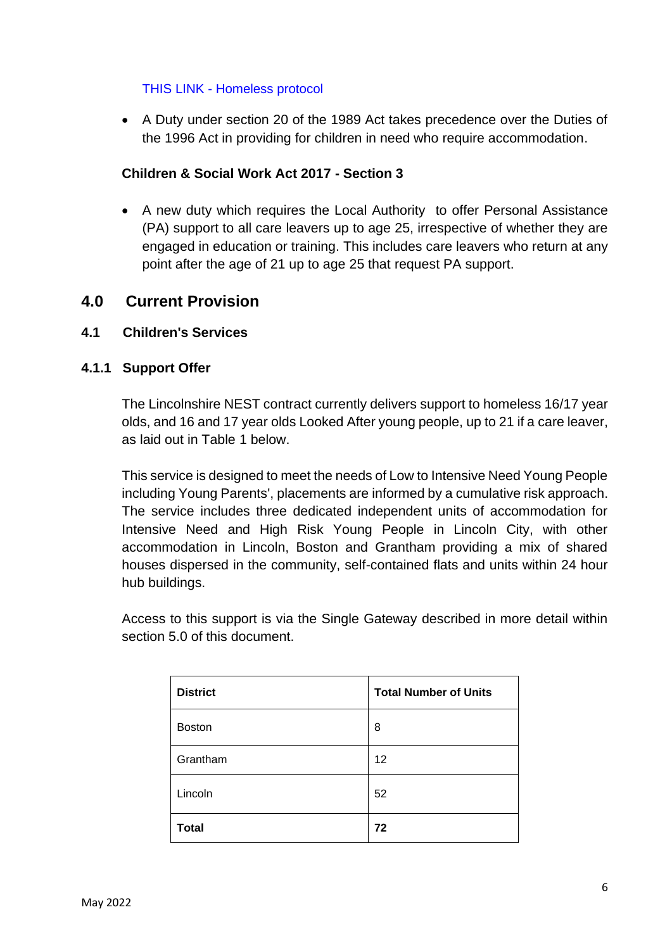#### THIS LINK - [Homeless protocol](https://lincolnshirechildcare.proceduresonline.com/pr_single_homeless.html?zoom_highlight=home)

• A Duty under section 20 of the 1989 Act takes precedence over the Duties of the 1996 Act in providing for children in need who require accommodation.

## **Children & Social Work Act 2017 - Section 3**

• A new duty which requires the Local Authority to offer Personal Assistance (PA) support to all care leavers up to age 25, irrespective of whether they are engaged in education or training. This includes care leavers who return at any point after the age of 21 up to age 25 that request PA support.

# **4.0 Current Provision**

### **4.1 Children's Services**

#### **4.1.1 Support Offer**

The Lincolnshire NEST contract currently delivers support to homeless 16/17 year olds, and 16 and 17 year olds Looked After young people, up to 21 if a care leaver, as laid out in Table 1 below.

This service is designed to meet the needs of Low to Intensive Need Young People including Young Parents', placements are informed by a cumulative risk approach. The service includes three dedicated independent units of accommodation for Intensive Need and High Risk Young People in Lincoln City, with other accommodation in Lincoln, Boston and Grantham providing a mix of shared houses dispersed in the community, self-contained flats and units within 24 hour hub buildings.

Access to this support is via the Single Gateway described in more detail within section 5.0 of this document.

| <b>District</b> | <b>Total Number of Units</b> |  |
|-----------------|------------------------------|--|
| <b>Boston</b>   | 8                            |  |
| Grantham        | 12                           |  |
| Lincoln         | 52                           |  |
| <b>Total</b>    | 72                           |  |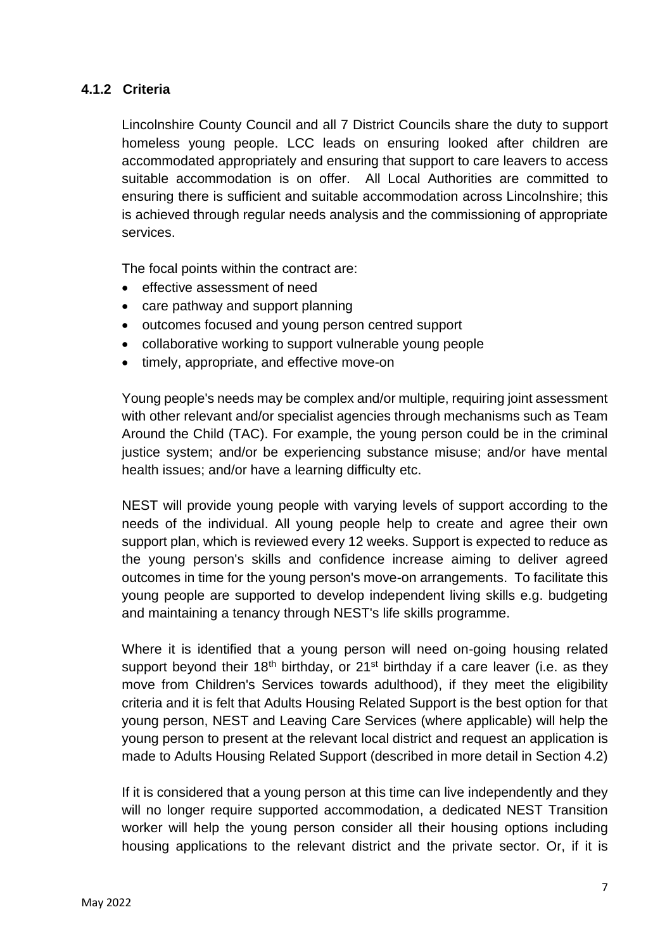## **4.1.2 Criteria**

Lincolnshire County Council and all 7 District Councils share the duty to support homeless young people. LCC leads on ensuring looked after children are accommodated appropriately and ensuring that support to care leavers to access suitable accommodation is on offer. All Local Authorities are committed to ensuring there is sufficient and suitable accommodation across Lincolnshire; this is achieved through regular needs analysis and the commissioning of appropriate services.

The focal points within the contract are:

- effective assessment of need
- care pathway and support planning
- outcomes focused and young person centred support
- collaborative working to support vulnerable young people
- timely, appropriate, and effective move-on

Young people's needs may be complex and/or multiple, requiring joint assessment with other relevant and/or specialist agencies through mechanisms such as Team Around the Child (TAC). For example, the young person could be in the criminal justice system; and/or be experiencing substance misuse; and/or have mental health issues; and/or have a learning difficulty etc.

NEST will provide young people with varying levels of support according to the needs of the individual. All young people help to create and agree their own support plan, which is reviewed every 12 weeks. Support is expected to reduce as the young person's skills and confidence increase aiming to deliver agreed outcomes in time for the young person's move-on arrangements. To facilitate this young people are supported to develop independent living skills e.g. budgeting and maintaining a tenancy through NEST's life skills programme.

Where it is identified that a young person will need on-going housing related support beyond their 18<sup>th</sup> birthday, or 21<sup>st</sup> birthday if a care leaver (i.e. as they move from Children's Services towards adulthood), if they meet the eligibility criteria and it is felt that Adults Housing Related Support is the best option for that young person, NEST and Leaving Care Services (where applicable) will help the young person to present at the relevant local district and request an application is made to Adults Housing Related Support (described in more detail in Section 4.2)

If it is considered that a young person at this time can live independently and they will no longer require supported accommodation, a dedicated NEST Transition worker will help the young person consider all their housing options including housing applications to the relevant district and the private sector. Or, if it is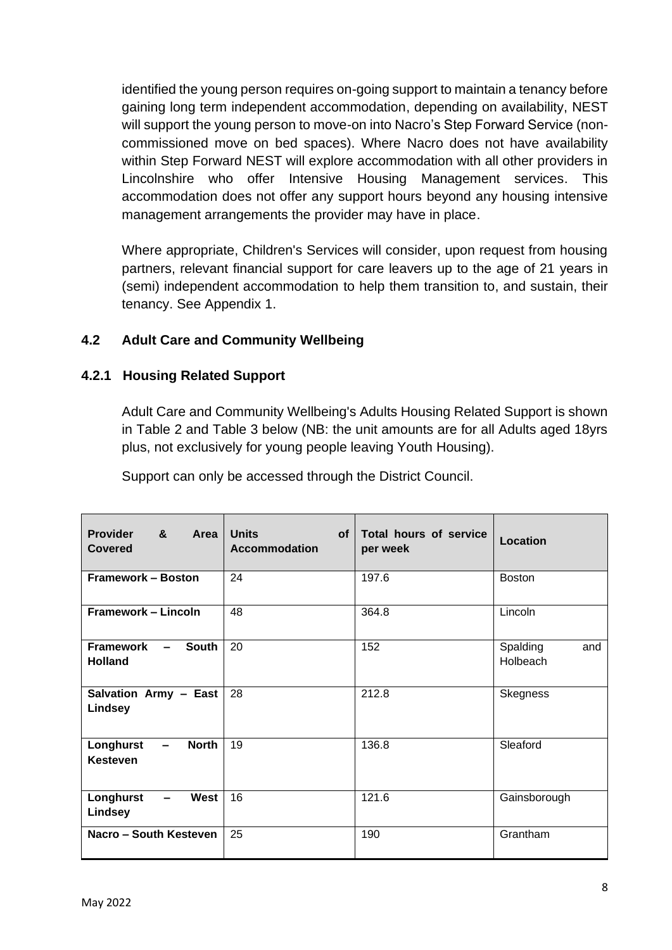identified the young person requires on-going support to maintain a tenancy before gaining long term independent accommodation, depending on availability, NEST will support the young person to move-on into Nacro's Step Forward Service (noncommissioned move on bed spaces). Where Nacro does not have availability within Step Forward NEST will explore accommodation with all other providers in Lincolnshire who offer Intensive Housing Management services. This accommodation does not offer any support hours beyond any housing intensive management arrangements the provider may have in place.

Where appropriate, Children's Services will consider, upon request from housing partners, relevant financial support for care leavers up to the age of 21 years in (semi) independent accommodation to help them transition to, and sustain, their tenancy. See Appendix 1.

# **4.2 Adult Care and Community Wellbeing**

# **4.2.1 Housing Related Support**

Adult Care and Community Wellbeing's Adults Housing Related Support is shown in Table 2 and Table 3 below (NB: the unit amounts are for all Adults aged 18yrs plus, not exclusively for young people leaving Youth Housing).

Support can only be accessed through the District Council.

| <b>Provider</b><br>&<br>Area<br><b>Covered</b>                           | <b>Units</b><br><b>of</b><br><b>Accommodation</b> | Total hours of service<br>per week | Location                    |
|--------------------------------------------------------------------------|---------------------------------------------------|------------------------------------|-----------------------------|
| <b>Framework - Boston</b>                                                | 24                                                | 197.6                              | <b>Boston</b>               |
| Framework - Lincoln                                                      | 48                                                | 364.8                              | Lincoln                     |
| <b>Framework</b><br><b>South</b><br>$\sim$ $\sim$<br><b>Holland</b>      | 20                                                | 152                                | Spalding<br>and<br>Holbeach |
| Salvation Army - East<br>Lindsey                                         | 28                                                | 212.8                              | <b>Skegness</b>             |
| <b>North</b><br>Longhurst<br>$\overline{\phantom{a}}$<br><b>Kesteven</b> | 19                                                | 136.8                              | Sleaford                    |
| Longhurst<br><b>West</b><br>$\blacksquare$<br>Lindsey                    | 16                                                | 121.6                              | Gainsborough                |
| Nacro - South Kesteven                                                   | 25                                                | 190                                | Grantham                    |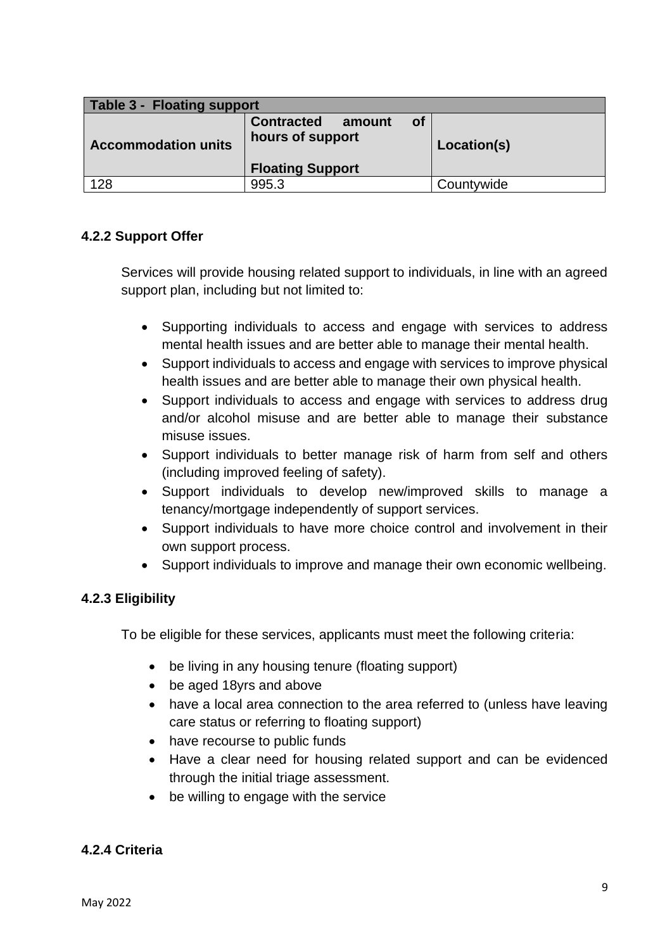| <b>Table 3 - Floating support</b> |                                                 |           |             |  |  |  |
|-----------------------------------|-------------------------------------------------|-----------|-------------|--|--|--|
| <b>Accommodation units</b>        | <b>Contracted</b><br>amount<br>hours of support | <b>of</b> | Location(s) |  |  |  |
|                                   | <b>Floating Support</b>                         |           |             |  |  |  |
| 128                               | 995.3                                           |           | Countywide  |  |  |  |

# **4.2.2 Support Offer**

Services will provide housing related support to individuals, in line with an agreed support plan, including but not limited to:

- Supporting individuals to access and engage with services to address mental health issues and are better able to manage their mental health.
- Support individuals to access and engage with services to improve physical health issues and are better able to manage their own physical health.
- Support individuals to access and engage with services to address drug and/or alcohol misuse and are better able to manage their substance misuse issues.
- Support individuals to better manage risk of harm from self and others (including improved feeling of safety).
- Support individuals to develop new/improved skills to manage a tenancy/mortgage independently of support services.
- Support individuals to have more choice control and involvement in their own support process.
- Support individuals to improve and manage their own economic wellbeing.

# **4.2.3 Eligibility**

To be eligible for these services, applicants must meet the following criteria:

- be living in any housing tenure (floating support)
- be aged 18yrs and above
- have a local area connection to the area referred to (unless have leaving care status or referring to floating support)
- have recourse to public funds
- Have a clear need for housing related support and can be evidenced through the initial triage assessment.
- be willing to engage with the service

# **4.2.4 Criteria**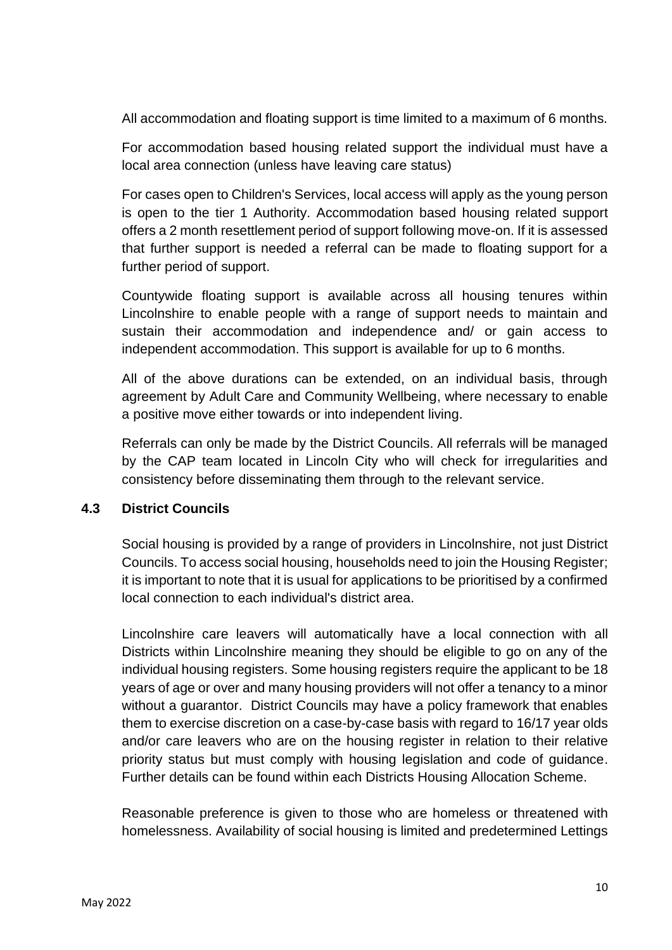All accommodation and floating support is time limited to a maximum of 6 months.

For accommodation based housing related support the individual must have a local area connection (unless have leaving care status)

For cases open to Children's Services, local access will apply as the young person is open to the tier 1 Authority. Accommodation based housing related support offers a 2 month resettlement period of support following move-on. If it is assessed that further support is needed a referral can be made to floating support for a further period of support.

Countywide floating support is available across all housing tenures within Lincolnshire to enable people with a range of support needs to maintain and sustain their accommodation and independence and/ or gain access to independent accommodation. This support is available for up to 6 months.

All of the above durations can be extended, on an individual basis, through agreement by Adult Care and Community Wellbeing, where necessary to enable a positive move either towards or into independent living.

Referrals can only be made by the District Councils. All referrals will be managed by the CAP team located in Lincoln City who will check for irregularities and consistency before disseminating them through to the relevant service.

#### **4.3 District Councils**

Social housing is provided by a range of providers in Lincolnshire, not just District Councils. To access social housing, households need to join the Housing Register; it is important to note that it is usual for applications to be prioritised by a confirmed local connection to each individual's district area.

Lincolnshire care leavers will automatically have a local connection with all Districts within Lincolnshire meaning they should be eligible to go on any of the individual housing registers. Some housing registers require the applicant to be 18 years of age or over and many housing providers will not offer a tenancy to a minor without a guarantor. District Councils may have a policy framework that enables them to exercise discretion on a case-by-case basis with regard to 16/17 year olds and/or care leavers who are on the housing register in relation to their relative priority status but must comply with housing legislation and code of guidance. Further details can be found within each Districts Housing Allocation Scheme.

Reasonable preference is given to those who are homeless or threatened with homelessness. Availability of social housing is limited and predetermined Lettings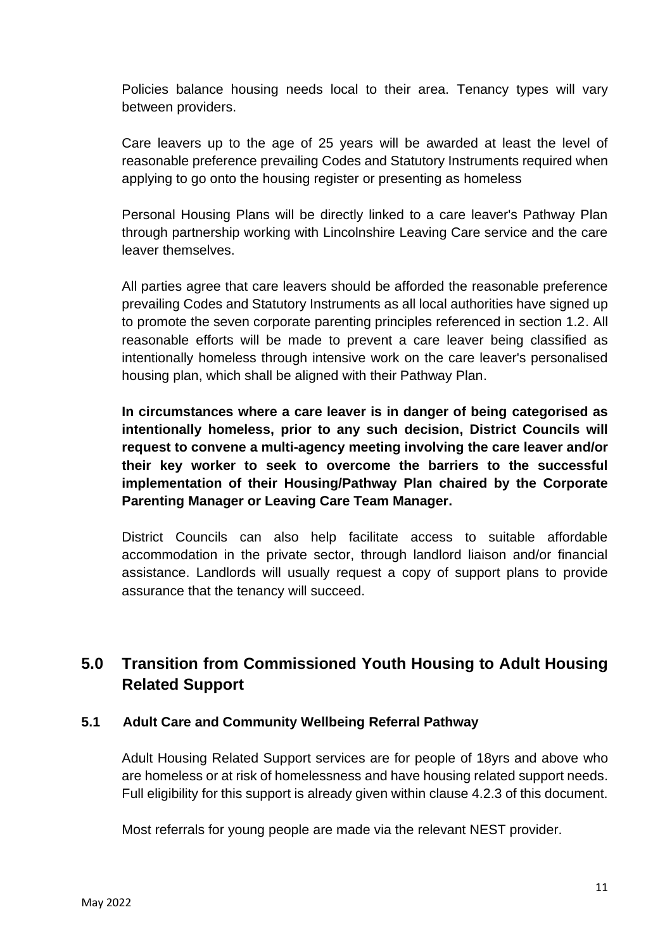Policies balance housing needs local to their area. Tenancy types will vary between providers.

Care leavers up to the age of 25 years will be awarded at least the level of reasonable preference prevailing Codes and Statutory Instruments required when applying to go onto the housing register or presenting as homeless

Personal Housing Plans will be directly linked to a care leaver's Pathway Plan through partnership working with Lincolnshire Leaving Care service and the care leaver themselves.

All parties agree that care leavers should be afforded the reasonable preference prevailing Codes and Statutory Instruments as all local authorities have signed up to promote the seven corporate parenting principles referenced in section 1.2. All reasonable efforts will be made to prevent a care leaver being classified as intentionally homeless through intensive work on the care leaver's personalised housing plan, which shall be aligned with their Pathway Plan.

**In circumstances where a care leaver is in danger of being categorised as intentionally homeless, prior to any such decision, District Councils will request to convene a multi-agency meeting involving the care leaver and/or their key worker to seek to overcome the barriers to the successful implementation of their Housing/Pathway Plan chaired by the Corporate Parenting Manager or Leaving Care Team Manager.**

District Councils can also help facilitate access to suitable affordable accommodation in the private sector, through landlord liaison and/or financial assistance. Landlords will usually request a copy of support plans to provide assurance that the tenancy will succeed.

# **5.0 Transition from Commissioned Youth Housing to Adult Housing Related Support**

### **5.1 Adult Care and Community Wellbeing Referral Pathway**

Adult Housing Related Support services are for people of 18yrs and above who are homeless or at risk of homelessness and have housing related support needs. Full eligibility for this support is already given within clause 4.2.3 of this document.

Most referrals for young people are made via the relevant NEST provider.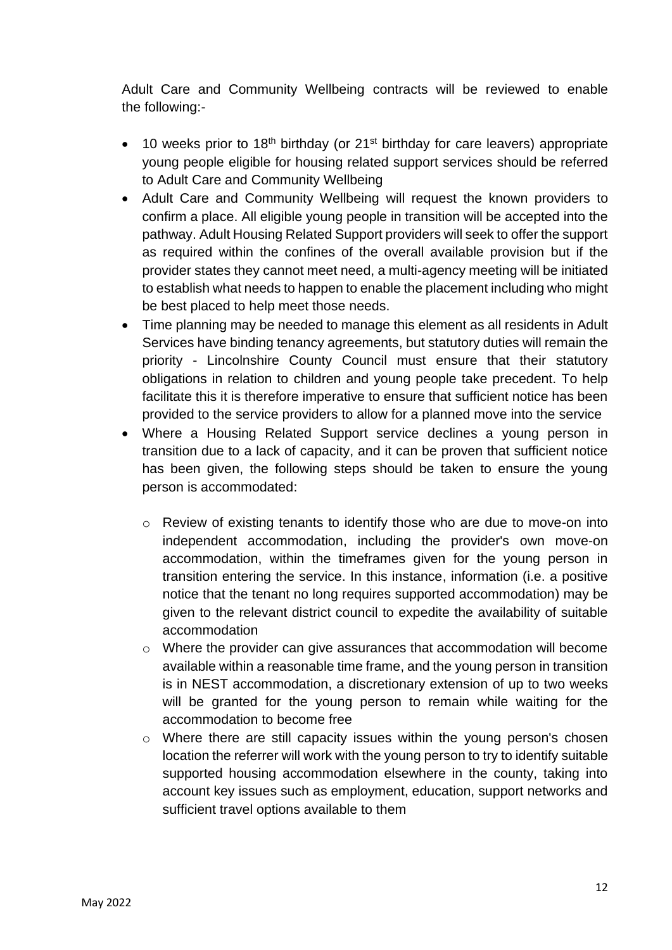Adult Care and Community Wellbeing contracts will be reviewed to enable the following:-

- 10 weeks prior to 18<sup>th</sup> birthday (or 21<sup>st</sup> birthday for care leavers) appropriate young people eligible for housing related support services should be referred to Adult Care and Community Wellbeing
- Adult Care and Community Wellbeing will request the known providers to confirm a place. All eligible young people in transition will be accepted into the pathway. Adult Housing Related Support providers will seek to offer the support as required within the confines of the overall available provision but if the provider states they cannot meet need, a multi-agency meeting will be initiated to establish what needs to happen to enable the placement including who might be best placed to help meet those needs.
- Time planning may be needed to manage this element as all residents in Adult Services have binding tenancy agreements, but statutory duties will remain the priority - Lincolnshire County Council must ensure that their statutory obligations in relation to children and young people take precedent. To help facilitate this it is therefore imperative to ensure that sufficient notice has been provided to the service providers to allow for a planned move into the service
- Where a Housing Related Support service declines a young person in transition due to a lack of capacity, and it can be proven that sufficient notice has been given, the following steps should be taken to ensure the young person is accommodated:
	- o Review of existing tenants to identify those who are due to move-on into independent accommodation, including the provider's own move-on accommodation, within the timeframes given for the young person in transition entering the service. In this instance, information (i.e. a positive notice that the tenant no long requires supported accommodation) may be given to the relevant district council to expedite the availability of suitable accommodation
	- o Where the provider can give assurances that accommodation will become available within a reasonable time frame, and the young person in transition is in NEST accommodation, a discretionary extension of up to two weeks will be granted for the young person to remain while waiting for the accommodation to become free
	- o Where there are still capacity issues within the young person's chosen location the referrer will work with the young person to try to identify suitable supported housing accommodation elsewhere in the county, taking into account key issues such as employment, education, support networks and sufficient travel options available to them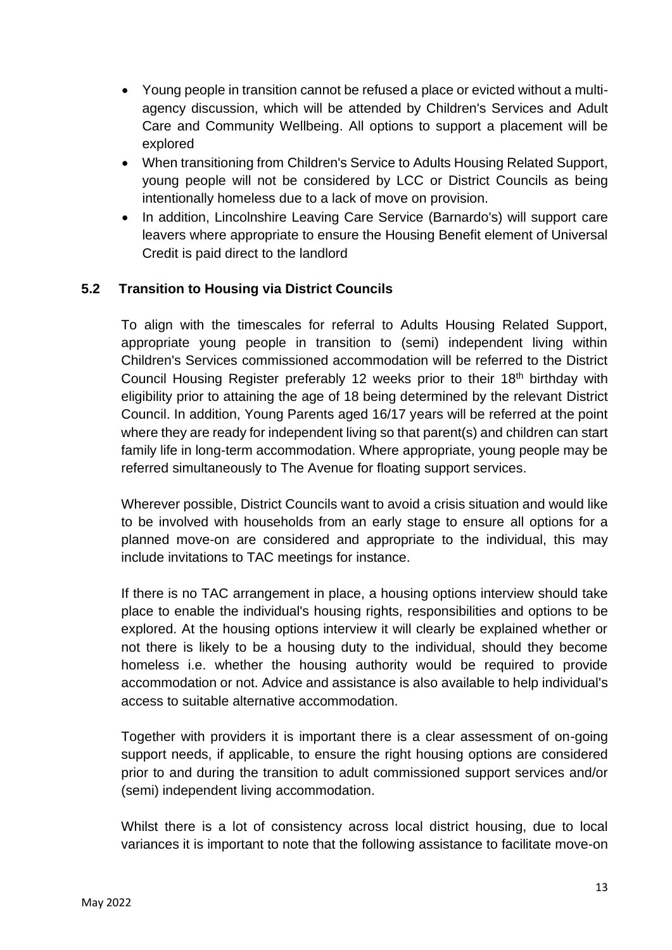- Young people in transition cannot be refused a place or evicted without a multiagency discussion, which will be attended by Children's Services and Adult Care and Community Wellbeing. All options to support a placement will be explored
- When transitioning from Children's Service to Adults Housing Related Support, young people will not be considered by LCC or District Councils as being intentionally homeless due to a lack of move on provision.
- In addition, Lincolnshire Leaving Care Service (Barnardo's) will support care leavers where appropriate to ensure the Housing Benefit element of Universal Credit is paid direct to the landlord

# **5.2 Transition to Housing via District Councils**

To align with the timescales for referral to Adults Housing Related Support, appropriate young people in transition to (semi) independent living within Children's Services commissioned accommodation will be referred to the District Council Housing Register preferably 12 weeks prior to their 18<sup>th</sup> birthday with eligibility prior to attaining the age of 18 being determined by the relevant District Council. In addition, Young Parents aged 16/17 years will be referred at the point where they are ready for independent living so that parent(s) and children can start family life in long-term accommodation. Where appropriate, young people may be referred simultaneously to The Avenue for floating support services.

Wherever possible, District Councils want to avoid a crisis situation and would like to be involved with households from an early stage to ensure all options for a planned move-on are considered and appropriate to the individual, this may include invitations to TAC meetings for instance.

If there is no TAC arrangement in place, a housing options interview should take place to enable the individual's housing rights, responsibilities and options to be explored. At the housing options interview it will clearly be explained whether or not there is likely to be a housing duty to the individual, should they become homeless i.e. whether the housing authority would be required to provide accommodation or not. Advice and assistance is also available to help individual's access to suitable alternative accommodation.

Together with providers it is important there is a clear assessment of on-going support needs, if applicable, to ensure the right housing options are considered prior to and during the transition to adult commissioned support services and/or (semi) independent living accommodation.

Whilst there is a lot of consistency across local district housing, due to local variances it is important to note that the following assistance to facilitate move-on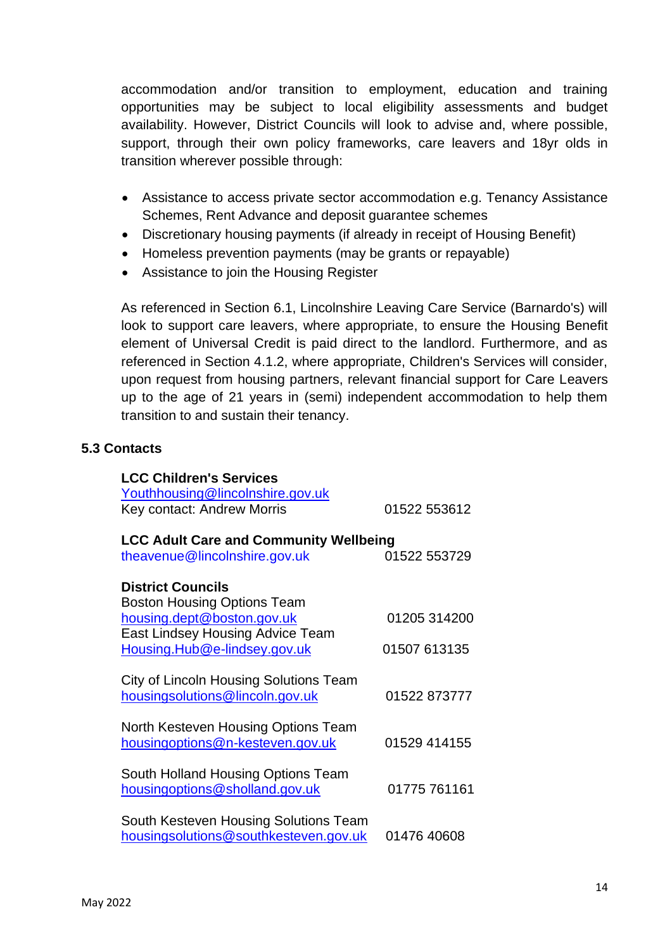accommodation and/or transition to employment, education and training opportunities may be subject to local eligibility assessments and budget availability. However, District Councils will look to advise and, where possible, support, through their own policy frameworks, care leavers and 18yr olds in transition wherever possible through:

- Assistance to access private sector accommodation e.g. Tenancy Assistance Schemes, Rent Advance and deposit guarantee schemes
- Discretionary housing payments (if already in receipt of Housing Benefit)
- Homeless prevention payments (may be grants or repayable)
- Assistance to join the Housing Register

As referenced in Section 6.1, Lincolnshire Leaving Care Service (Barnardo's) will look to support care leavers, where appropriate, to ensure the Housing Benefit element of Universal Credit is paid direct to the landlord. Furthermore, and as referenced in Section 4.1.2, where appropriate, Children's Services will consider, upon request from housing partners, relevant financial support for Care Leavers up to the age of 21 years in (semi) independent accommodation to help them transition to and sustain their tenancy.

### **5.3 Contacts**

| <b>LCC Children's Services</b><br>Youthhousing@lincolnshire.gov.uk |              |  |  |  |
|--------------------------------------------------------------------|--------------|--|--|--|
| Key contact: Andrew Morris                                         | 01522 553612 |  |  |  |
| <b>LCC Adult Care and Community Wellbeing</b>                      |              |  |  |  |
| theavenue@lincolnshire.gov.uk                                      | 01522 553729 |  |  |  |
| <b>District Councils</b>                                           |              |  |  |  |
| <b>Boston Housing Options Team</b>                                 |              |  |  |  |
| housing.dept@boston.gov.uk                                         | 01205 314200 |  |  |  |
| East Lindsey Housing Advice Team                                   |              |  |  |  |
| Housing.Hub@e-lindsey.gov.uk                                       | 01507 613135 |  |  |  |
| City of Lincoln Housing Solutions Team                             |              |  |  |  |
| housingsolutions@lincoln.gov.uk                                    | 01522 873777 |  |  |  |
|                                                                    |              |  |  |  |
| North Kesteven Housing Options Team                                |              |  |  |  |
| housingoptions@n-kesteven.gov.uk                                   | 01529 414155 |  |  |  |
|                                                                    |              |  |  |  |
| South Holland Housing Options Team                                 |              |  |  |  |
| housingoptions@sholland.gov.uk                                     | 01775 761161 |  |  |  |
|                                                                    |              |  |  |  |
| South Kesteven Housing Solutions Team                              |              |  |  |  |
| housingsolutions@southkesteven.gov.uk                              | 01476 40608  |  |  |  |
|                                                                    |              |  |  |  |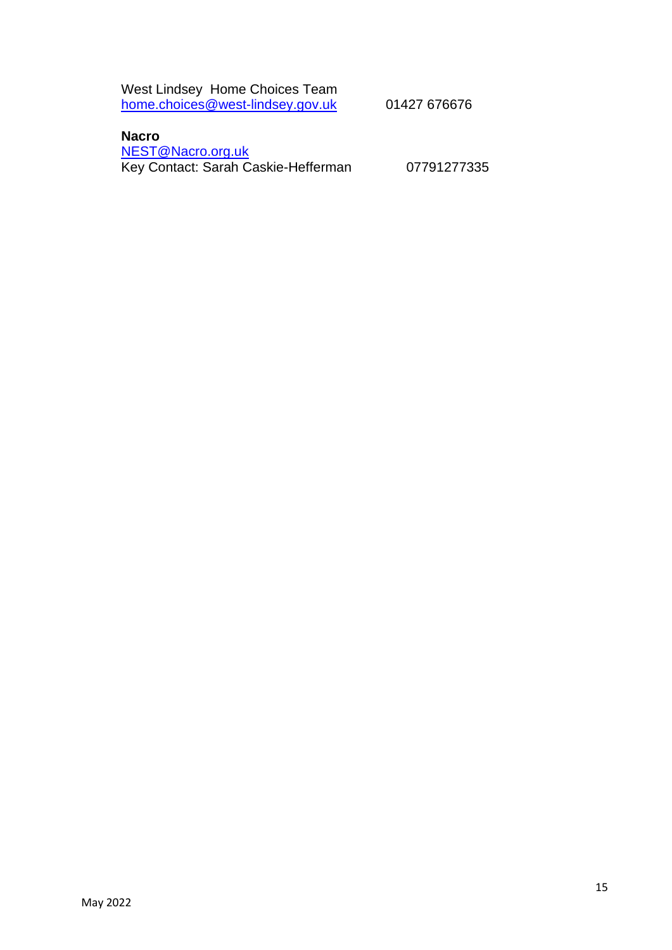West Lindsey Home Choices Team [home.choices@west-lindsey.gov.uk](http://home.choices@west-lindsey.gov.uk) 01427 676676

# **Nacro**

[NEST@Nacro.org.uk](mailto:NEST@Nacro.org.uk) Key Contact: Sarah Caskie-Hefferman 07791277335